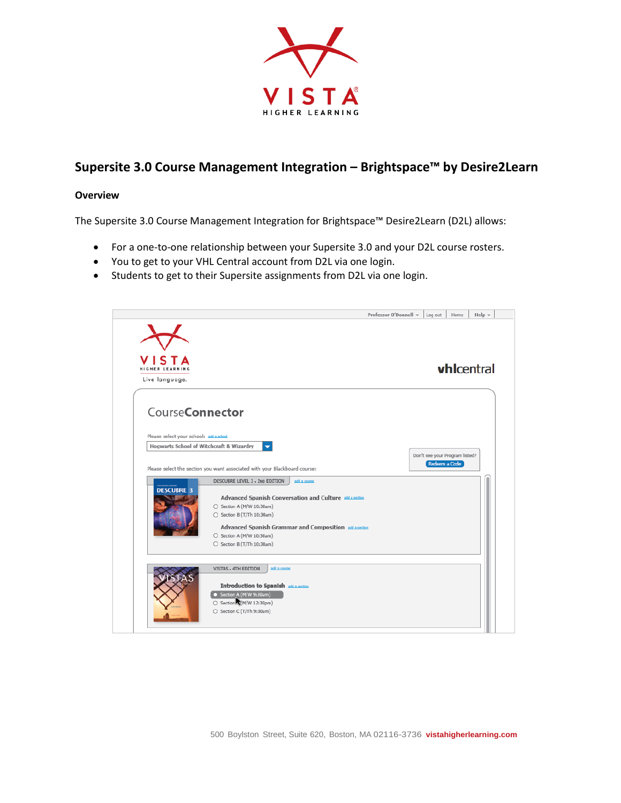

# **Supersite 3.0 Course Management Integration – Brightspace™ by Desire2Learn**

### **Overview**

The Supersite 3.0 Course Management Integration for Brightspace™ Desire2Learn (D2L) allows:

- For a one-to-one relationship between your Supersite 3.0 and your D2L course rosters.
- You to get to your VHL Central account from D2L via one login.
- Students to get to their Supersite assignments from D2L via one login.